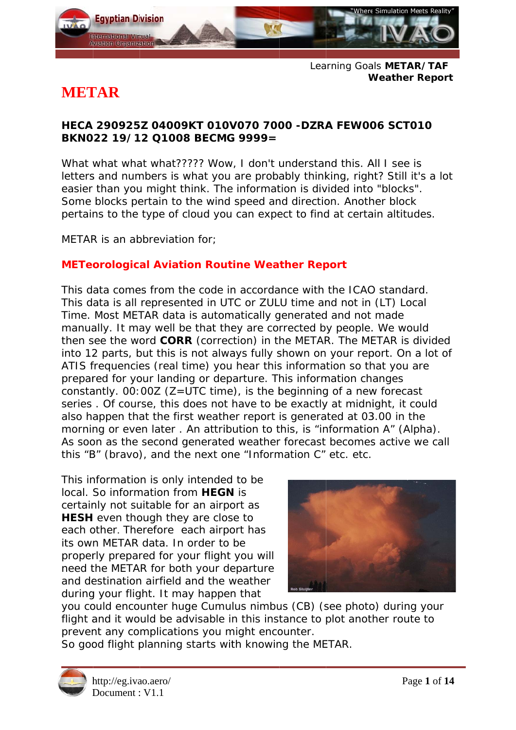

Learning Goals METAR/TAF **Weather Report** 

# **METAR**

#### HECA 290925Z 04009KT 010V070 7000 -DZRA FEW006 SCT010 BKN022 19/12 Q1008 BECMG 9999=

What what what what????? Wow, I don't understand this. All I see is letters and numbers is what you are probably thinking, right? Still it's a lot easier than you might think. The information is divided into "blocks". Some blocks pertain to the wind speed and direction. Another block pertains to the type of cloud you can expect to find at certain altitudes.

METAR is an abbreviation for:

## **METeorological Aviation Routine Weather Report**

This data comes from the code in accordance with the ICAO standard. This data is all represented in UTC or ZULU time and not in (LT) Local Time. Most METAR data is automatically generated and not made manually. It may well be that they are corrected by people. We would then see the word CORR (correction) in the METAR. The METAR is divided into 12 parts, but this is not always fully shown on your report. On a lot of ATIS frequencies (real time) you hear this information so that you are prepared for your landing or departure. This information changes constantly.  $00:00Z$  ( $Z=UTC$  time), is the beginning of a new forecast series. Of course, this does not have to be exactly at midnight, it could also happen that the first weather report is generated at 03.00 in the morning or even later. An attribution to this, is "information A" (Alpha). As soon as the second generated weather forecast becomes active we call this "B" (bravo), and the next one "Information C" etc. etc.

This information is only intended to be local. So information from HEGN is certainly not suitable for an airport as HESH even though they are close to each other. Therefore each airport has its own METAR data. In order to be properly prepared for your flight you will need the METAR for both your departure and destination airfield and the weather during your flight. It may happen that



you could encounter huge Cumulus nimbus (CB) (see photo) during your flight and it would be advisable in this instance to plot another route to prevent any complications you might encounter.

So good flight planning starts with knowing the METAR.

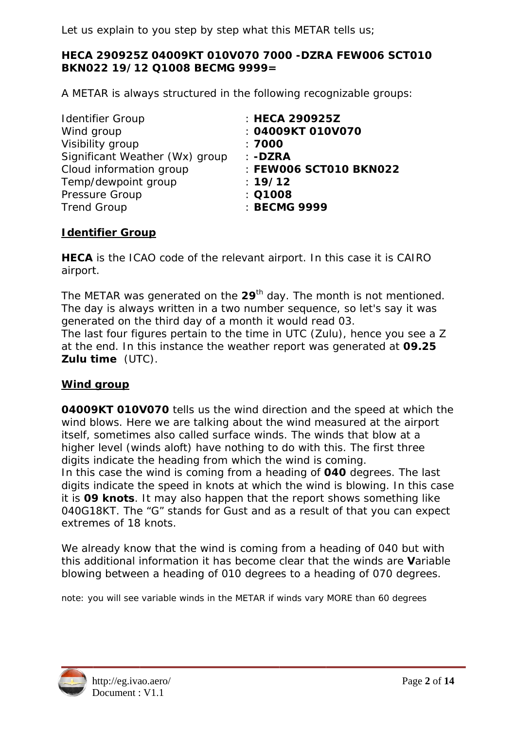Let us explain to you step by step what this METAR tells us;

#### HECA 290925Z 04009KT 010V070 7000 -DZRA FEW006 SCT010 BKN022 19/12 Q1008 BECMG 9999=

A METAR is always structured in the following recognizable groups:

| : FEW006 SCT010 BKN022 |
|------------------------|
|                        |
|                        |
|                        |
|                        |

#### **Identifier Group**

HECA is the ICAO code of the relevant airport. In this case it is CAIRO airport.

The METAR was generated on the 29<sup>th</sup> day. The month is not mentioned. The day is always written in a two number sequence, so let's say it was generated on the third day of a month it would read 03.

The last four figures pertain to the time in UTC (Zulu), hence you see a Z at the end. In this instance the weather report was generated at 09.25 Zulu time (UTC).

## **Wind group**

04009KT 010V070 tells us the wind direction and the speed at which the wind blows. Here we are talking about the wind measured at the airport itself, sometimes also called surface winds. The winds that blow at a higher level (winds aloft) have nothing to do with this. The first three digits indicate the heading from which the wind is coming.

In this case the wind is coming from a heading of 040 degrees. The last digits indicate the speed in knots at which the wind is blowing. In this case it is 09 knots. It may also happen that the report shows something like 040G18KT. The "G" stands for Gust and as a result of that you can expect extremes of 18 knots.

We already know that the wind is coming from a heading of 040 but with this additional information it has become clear that the winds are Variable blowing between a heading of 010 degrees to a heading of 070 degrees.

note: you will see variable winds in the METAR if winds vary MORE than 60 degrees

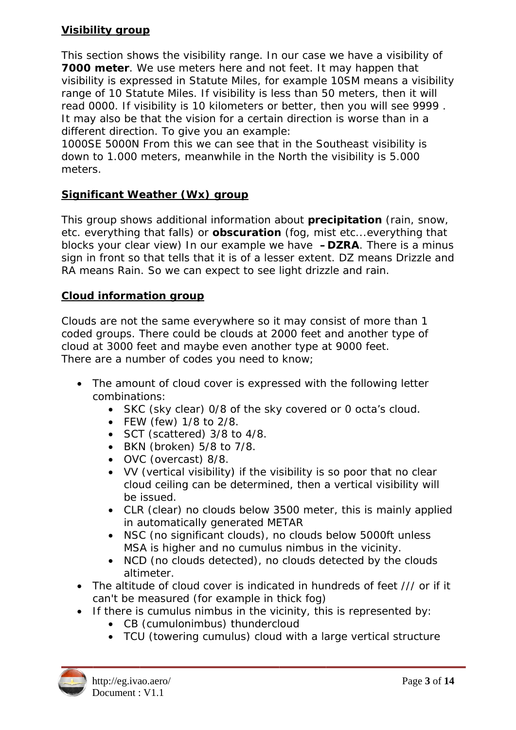#### **Visibility group**

This section shows the visibility range. In our case we have a visibility of 7000 meter. We use meters here and not feet. It may happen that visibility is expressed in Statute Miles, for example 10SM means a visibility range of 10 Statute Miles. If visibility is less than 50 meters, then it will read 0000. If visibility is 10 kilometers or better, then you will see 9999. It may also be that the vision for a certain direction is worse than in a different direction. To give you an example:

1000SE 5000N From this we can see that in the Southeast visibility is down to 1.000 meters, meanwhile in the North the visibility is 5.000 meters.

#### Significant Weather (Wx) group

This group shows additional information about precipitation (rain, snow, etc. everything that falls) or **obscuration** (fog. mist etc...everything that blocks your clear view) In our example we have **-DZRA**. There is a minus sign in front so that tells that it is of a lesser extent. DZ means Drizzle and RA means Rain. So we can expect to see light drizzle and rain.

#### **Cloud information group**

Clouds are not the same everywhere so it may consist of more than 1 coded groups. There could be clouds at 2000 feet and another type of cloud at 3000 feet and maybe even another type at 9000 feet. There are a number of codes you need to know:

- The amount of cloud cover is expressed with the following letter combinations:
	- SKC (sky clear) 0/8 of the sky covered or 0 octa's cloud.
	- FEW (few) 1/8 to 2/8.
	- SCT (scattered) 3/8 to 4/8.
	- BKN (broken) 5/8 to 7/8.
	- OVC (overcast) 8/8.
	- VV (vertical visibility) if the visibility is so poor that no clear cloud ceiling can be determined, then a vertical visibility will be issued.
	- CLR (clear) no clouds below 3500 meter, this is mainly applied in automatically generated METAR
	- *NSC* (no significant clouds), no clouds below 5000ft unless MSA is higher and no cumulus nimbus in the vicinity.
	- *NCD* (no clouds detected), no clouds detected by the clouds altimeter.
- The altitude of cloud cover is indicated in hundreds of feet /// or if it can't be measured (for example in thick fog)
- If there is cumulus nimbus in the vicinity, this is represented by:
	- CB (cumulonimbus) thundercloud
	- TCU (towering cumulus) cloud with a large vertical structure

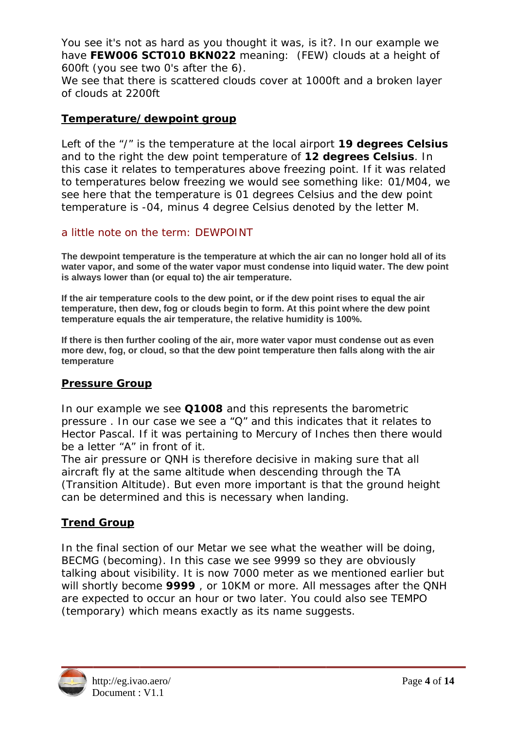You see it's not as hard as you thought it was, is it?. In our example we have FEW006 SCT010 BKN022 meaning: (FEW) clouds at a height of 600ft (you see two 0's after the 6).

We see that there is scattered clouds cover at 1000ft and a broken layer of clouds at 2200ft

#### Temperature/dewpoint group

Left of the "/" is the temperature at the local airport 19 degrees Celsius and to the right the dew point temperature of 12 degrees Celsius. In this case it relates to temperatures above freezing point. If it was related to temperatures below freezing we would see something like: 01/M04, we see here that the temperature is 01 degrees Celsius and the dew point temperature is -04, minus 4 degree Celsius denoted by the letter M.

#### a little note on the term: DEWPOINT

The dewpoint temperature is the temperature at which the air can no longer hold all of its water vapor, and some of the water vapor must condense into liquid water. The dew point is always lower than (or equal to) the air temperature.

If the air temperature cools to the dew point, or if the dew point rises to equal the air temperature, then dew, fog or clouds begin to form. At this point where the dew point temperature equals the air temperature, the relative humidity is 100%.

If there is then further cooling of the air, more water vapor must condense out as even more dew, fog, or cloud, so that the dew point temperature then falls along with the air temperature

## **Pressure Group**

In our example we see Q1008 and this represents the barometric pressure. In our case we see a "Q" and this indicates that it relates to Hector Pascal. If it was pertaining to Mercury of Inches then there would be a letter "A" in front of it.

The air pressure or QNH is therefore decisive in making sure that all aircraft fly at the same altitude when descending through the TA (Transition Altitude). But even more important is that the ground height can be determined and this is necessary when landing.

## **Trend Group**

In the final section of our Metar we see what the weather will be doing. BECMG (becoming). In this case we see 9999 so they are obviously talking about visibility. It is now 7000 meter as we mentioned earlier but will shortly become 9999, or 10KM or more. All messages after the QNH are expected to occur an hour or two later. You could also see TEMPO (temporary) which means exactly as its name suggests.

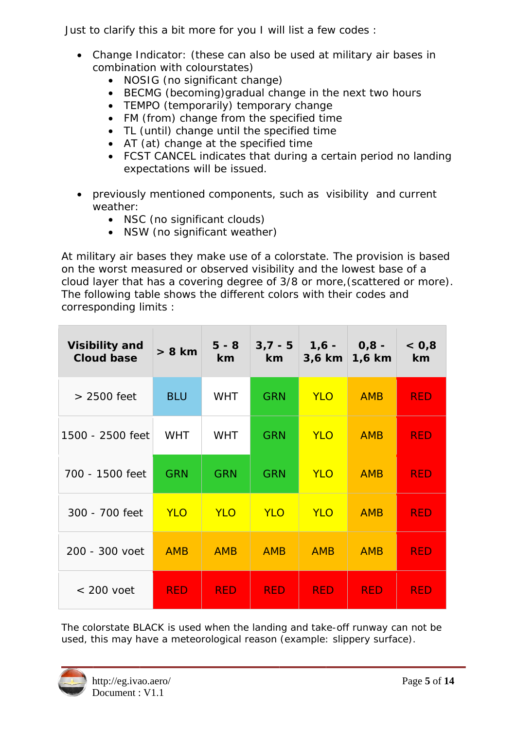Just to clarify this a bit more for you I will list a few codes :

- Change Indicator: (these can also be used at military air bases in combination with colourstates)
	- *NOSIG* (no significant change)
	- BECMG (becoming) gradual change in the next two hours
	- TEMPO (temporarily) temporary change
	- FM (from) change from the specified time
	- TL (until) change until the specified time
	- $AT$  (at) change at the specified time
	- FCST CANCEL indicates that during a certain period no landing expectations will be issued.
- previously mentioned components, such as *visibility* and current weather:
	- *NSC* (no significant clouds)
	- NSW (no significant weather)

At military air bases they make use of a colorstate. The provision is based on the worst measured or observed visibility and the lowest base of a cloud layer that has a covering degree of 3/8 or more, (scattered or more). The following table shows the different colors with their codes and corresponding limits :

| <b>Visibility and</b><br><b>Cloud base</b> | $> 8$ km   | $5 - 8$<br>km | $3,7 - 5$<br>$km-$ | $1,6 -$<br>3,6 km | $0,8 -$<br>1,6 km | < 0, 8<br>km |
|--------------------------------------------|------------|---------------|--------------------|-------------------|-------------------|--------------|
| $>2500$ feet                               | <b>BLU</b> | <b>WHT</b>    | <b>GRN</b>         | <b>YLO</b>        | <b>AMB</b>        | <b>RED</b>   |
| 1500 - 2500 feet                           | <b>WHT</b> | <b>WHT</b>    | <b>GRN</b>         | <b>YLO</b>        | <b>AMB</b>        | <b>RED</b>   |
| 700 - 1500 feet                            | <b>GRN</b> | <b>GRN</b>    | <b>GRN</b>         | <b>YLO</b>        | <b>AMB</b>        | <b>RED</b>   |
| 300 - 700 feet                             | <b>YLO</b> | <b>YLO</b>    | <b>YLO</b>         | <b>YLO</b>        | <b>AMB</b>        | <b>RED</b>   |
| 200 - 300 voet                             | <b>AMB</b> | <b>AMB</b>    | <b>AMB</b>         | <b>AMB</b>        | <b>AMB</b>        | <b>RED</b>   |
| $< 200$ voet                               | <b>RED</b> | <b>RED</b>    | <b>RED</b>         | <b>RED</b>        | <b>RED</b>        | <b>RED</b>   |

The colorstate BLACK is used when the landing and take-off runway can not be used, this may have a meteorological reason (example: slippery surface).

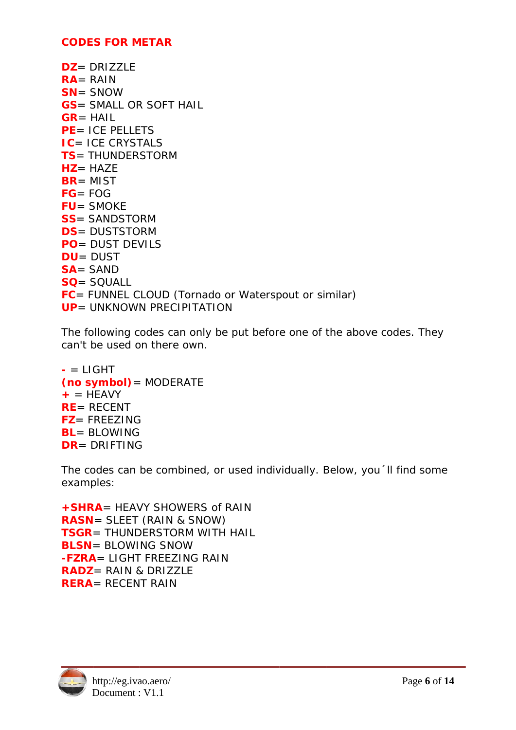#### **CODES FOR METAR**

 $DZ = DRIZZLE$  $RA = RAIN$  $SN = SNOW$ **GS** = SMALL OR SOFT HAIL  $GR = HAIL$ **PE** = ICE PELLETS **IC= ICE CRYSTALS TS**= THUNDERSTORM  $HZ = HAYF$  $BR = MIST$  $FG = FOG$  $FU = SMOKE$ **SS**= SANDSTORM **DS**= DUSTSTORM **PO**= DUST DEVILS  $DU = DUST$  $SA =$  SAND  $SO = SOLU$ FC= FUNNEL CLOUD (Tornado or Waterspout or similar) **UP** = UNKNOWN PRECIPITATION

The following codes can only be put before one of the above codes. They can't be used on there own.

```
= LIGHT(no symbol) = MODERATE
+ = HFAVY
RE = RECENTFZ = FREEZINGBL = BI OWING
DR = DRIFTING
```
The codes can be combined, or used individually. Below, you 'll find some examples:

+ SHRA= HEAVY SHOWERS of RAIN **RASN**= SLEET (RAIN & SNOW) **TSGR**= THUNDERSTORM WITH HAIL **BLSN**= BLOWING SNOW **-FZRA** = LIGHT FREEZING RAIN **RADZ** = RAIN & DRIZZLE **RERA**= RECENT RAIN

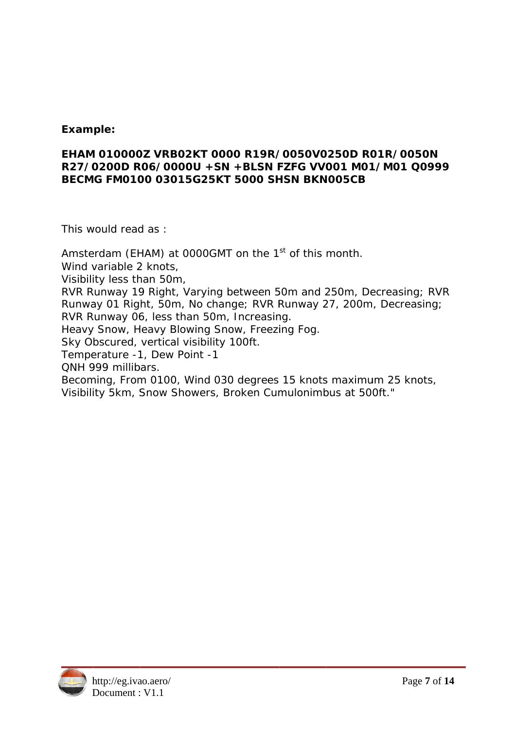#### Example:

#### EHAM 010000Z VRB02KT 0000 R19R/0050V0250D R01R/0050N R27/0200D R06/0000U +SN +BLSN FZFG VV001 M01/M01 Q0999 BECMG FM0100 03015G25KT 5000 SHSN BKN005CB

This would read as:

Amsterdam (EHAM) at 0000GMT on the 1<sup>st</sup> of this month. Wind variable 2 knots, Visibility less than 50m, RVR Runway 19 Right, Varying between 50m and 250m, Decreasing; RVR Runway 01 Right, 50m, No change; RVR Runway 27, 200m, Decreasing; RVR Runway 06, less than 50m, Increasing. Heavy Snow, Heavy Blowing Snow, Freezing Fog. Sky Obscured, vertical visibility 100ft. Temperature -1, Dew Point -1 ONH 999 millibars. Becoming, From 0100, Wind 030 degrees 15 knots maximum 25 knots, Visibility 5km, Snow Showers, Broken Cumulonimbus at 500ft."

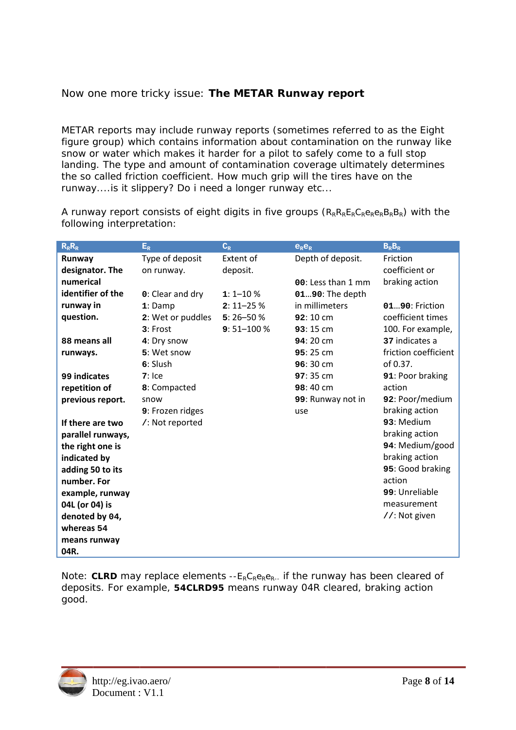## Now one more tricky issue: The METAR Runway report

METAR reports may include runway reports (sometimes referred to as the Eight figure group) which contains information about contamination on the runway like snow or water which makes it harder for a pilot to safely come to a full stop landing. The type and amount of contamination coverage ultimately determines the so called friction coefficient. How much grip will the tires have on the runway....is it slippery? Do i need a longer runway etc...

A runway report consists of eight digits in five groups  $(R_R R_R E_R C_R e_R e_R B_R B_R)$  with the following interpretation:

| $\mathbf{R}_{\text{R}}\mathbf{R}_{\text{R}}$ | $E_R$             | $C_{R}$          | $e_{R}e_{R}$       | $B_R B_R$            |
|----------------------------------------------|-------------------|------------------|--------------------|----------------------|
| Runway                                       | Type of deposit   | <b>Extent of</b> | Depth of deposit.  | Friction             |
| designator. The                              | on runway.        | deposit.         |                    | coefficient or       |
| numerical                                    |                   |                  | 00: Less than 1 mm | braking action       |
| identifier of the                            | 0: Clear and dry  | $1:1 - 10%$      | 0190: The depth    |                      |
| runway in                                    | $1:$ Damp         | $2:11 - 25%$     | in millimeters     | 0190: Friction       |
| question.                                    | 2: Wet or puddles | $5:26 - 50%$     | 92:10 cm           | coefficient times    |
|                                              | 3: Frost          | $9:51 - 100%$    | 93:15 cm           | 100. For example,    |
| 88 means all                                 | 4: Dry snow       |                  | $94:20 \text{ cm}$ | 37 indicates a       |
| runways.                                     | 5: Wet snow       |                  | 95:25 cm           | friction coefficient |
|                                              | $6:$ Slush        |                  | 96:30 cm           | of $0.37$ .          |
| 99 indicates                                 | $7:$ Ice          |                  | $97:35 \text{ cm}$ | 91: Poor braking     |
| repetition of                                | 8: Compacted      |                  | 98:40 cm           | action               |
| previous report.                             | snow              |                  | 99: Runway not in  | 92: Poor/medium      |
|                                              | 9: Frozen ridges  |                  | use                | braking action       |
| If there are two                             | /: Not reported   |                  |                    | 93: Medium           |
| parallel runways,                            |                   |                  |                    | braking action       |
| the right one is                             |                   |                  |                    | 94: Medium/good      |
| indicated by                                 |                   |                  |                    | braking action       |
| adding 50 to its                             |                   |                  |                    | 95: Good braking     |
| number. For                                  |                   |                  |                    | action               |
| example, runway                              |                   |                  |                    | 99: Unreliable       |
| 04L (or 04) is                               |                   |                  |                    | measurement          |
| denoted by 04,                               |                   |                  |                    | //: Not given        |
| whereas 54                                   |                   |                  |                    |                      |
| means runway                                 |                   |                  |                    |                      |
| 04R.                                         |                   |                  |                    |                      |

Note: CLRD may replace elements  $-E_R C_R e_R e_R$ . if the runway has been cleared of deposits. For example, 54CLRD95 means runway 04R cleared, braking action good.

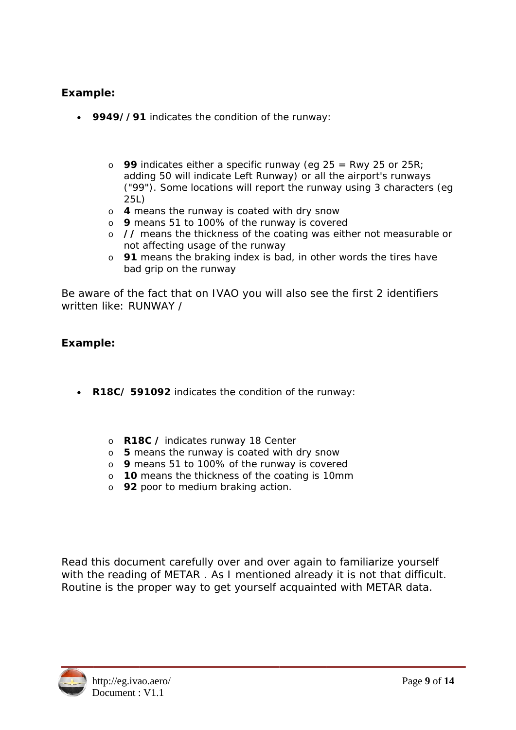#### Example:

- 9949//91 indicates the condition of the runway:
	- o 99 indicates either a specific runway (eq  $25$  = Rwy 25 or 25R; adding 50 will indicate Left Runway) or all the airport's runways ("99"). Some locations will report the runway using 3 characters (eq.  $25L$
	- o 4 means the runway is coated with dry snow
	- o 9 means 51 to 100% of the runway is covered
	- o // means the thickness of the coating was either not measurable or not affecting usage of the runway
	- o 91 means the braking index is bad, in other words the tires have bad grip on the runway

Be aware of the fact that on IVAO you will also see the first 2 identifiers written like: RUNWAY /

#### Example:

- R18C/ 591092 indicates the condition of the runway:
	- o R18C / indicates runway 18 Center
	- $\circ$  5 means the runway is coated with dry snow
	- o 9 means 51 to 100% of the runway is covered
	- o 10 means the thickness of the coating is 10mm
	- o 92 poor to medium braking action.

Read this document carefully over and over again to familiarize yourself with the reading of METAR. As I mentioned already it is not that difficult. Routine is the proper way to get yourself acquainted with METAR data.

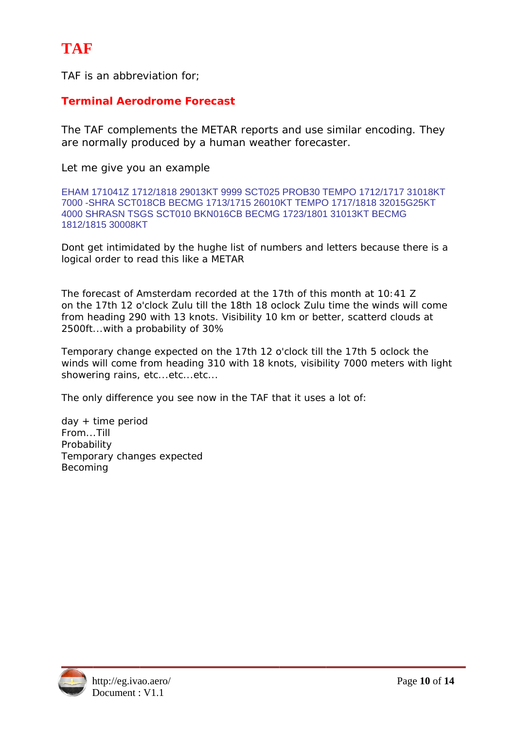TAF is an abbreviation for:

### **Terminal Aerodrome Forecast**

The TAF complements the METAR reports and use similar encoding. They are normally produced by a human weather forecaster.

Let me give you an example

EHAM 171041Z 1712/1818 29013KT 9999 SCT025 PROB30 TEMPO 1712/1717 31018KT 7000-SHRA SCT018CB BECMG 1713/1715 26010KT TEMPO 1717/1818 32015G25KT 4000 SHRASN TSGS SCT010 BKN016CB BECMG 1723/1801 31013KT BECMG 1812/1815 30008KT

Dont get intimidated by the hughe list of numbers and letters because there is a logical order to read this like a METAR

The forecast of Amsterdam recorded at the 17th of this month at 10:41 Z on the 17th 12 o'clock Zulu till the 18th 18 oclock Zulu time the winds will come from heading 290 with 13 knots. Visibility 10 km or better, scatterd clouds at 2500ft...with a probability of 30%

Temporary change expected on the 17th 12 o'clock till the 17th 5 oclock the winds will come from heading 310 with 18 knots, visibility 7000 meters with light showering rains, etc...etc...etc...

The only difference you see now in the TAF that it uses a lot of:

 $day + time period$ From...Till Probability Temporary changes expected Becoming

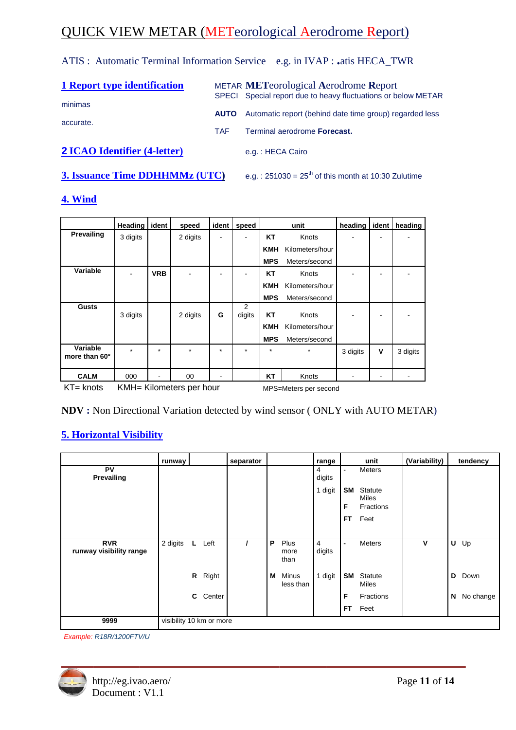## **QUICK VIEW METAR (METeorological Aerodrome Report)**

ATIS : Automatic Terminal Information Service e.g. in IVAP : .atis HECA\_TWR

| 1 Report type identification        |             | <b>METAR METeorological Aerodrome Report</b><br>SPECI Special report due to heavy fluctuations or below METAR |
|-------------------------------------|-------------|---------------------------------------------------------------------------------------------------------------|
| minimas<br>accurate.                | <b>AUTO</b> | Automatic report (behind date time group) regarded less                                                       |
|                                     | <b>TAF</b>  | Terminal aerodrome Forecast.                                                                                  |
| <b>2 ICAO Identifier (4-letter)</b> |             | e.g.: HECA Cairo                                                                                              |

**3. Issuance Time DDHHMMz (UTC)** e.g.:  $251030 = 25<sup>th</sup>$  of this month at 10:30 Zulutime

#### 4. Wind

|                           | <b>Heading</b> | ident      | speed              | ident   | speed       | unit       |                 | heading  | ident | heading  |
|---------------------------|----------------|------------|--------------------|---------|-------------|------------|-----------------|----------|-------|----------|
| Prevailing                | 3 digits       |            | 2 digits           |         |             | <b>KT</b>  | Knots           |          |       |          |
|                           |                |            |                    |         |             | <b>KMH</b> | Kilometers/hour |          |       |          |
|                           |                |            |                    |         |             | <b>MPS</b> | Meters/second   |          |       |          |
| Variable                  |                | <b>VRB</b> |                    |         |             | <b>KT</b>  | Knots           |          |       |          |
|                           |                |            |                    |         |             | <b>KMH</b> | Kilometers/hour |          |       |          |
|                           |                |            |                    |         |             | <b>MPS</b> | Meters/second   |          |       |          |
| <b>Gusts</b>              | 3 digits       |            | 2 digits           | G       | 2<br>digits | <b>KT</b>  | Knots           |          |       |          |
|                           |                |            |                    |         |             | <b>KMH</b> | Kilometers/hour |          |       |          |
|                           |                |            |                    |         |             | <b>MPS</b> | Meters/second   |          |       |          |
| Variable<br>more than 60° | $\star$        | $\star$    | $\star$            | $\star$ | $\star$     | $\star$    | $\star$         | 3 digits | v     | 3 digits |
| <b>CALM</b>               | 000            |            | 00                 | -       |             | <b>KT</b>  | Knots           | -        | -     |          |
| $V$ $\Gamma$ $\Gamma$     |                |            | $VML$ $Vilomation$ |         |             |            | $\mathbf{1}$    |          |       |          |

KT= knots KMH= Kilometers per hour MPS=Meters per second

NDV: Non Directional Variation detected by wind sensor (ONLY with AUTO METAR)

## **5. Horizontal Visibility**

|                                       | runway   |                          | separator |   |                           | range                  |                                                         | unit                                                   | (Variability) |   | tendency  |
|---------------------------------------|----------|--------------------------|-----------|---|---------------------------|------------------------|---------------------------------------------------------|--------------------------------------------------------|---------------|---|-----------|
| <b>PV</b><br>Prevailing               |          |                          |           |   |                           | 4<br>digits<br>1 digit | $\overline{\phantom{a}}$<br><b>SM</b><br>F<br><b>FT</b> | Meters<br><b>Statute</b><br>Miles<br>Fractions<br>Feet |               |   |           |
| <b>RVR</b><br>runway visibility range | 2 digits | Left<br>L.               |           | P | Plus<br>more<br>than      | 4<br>digits            | $\blacksquare$                                          | Meters                                                 | ۷             | U | Up        |
|                                       |          | R<br>Right               |           | М | <b>Minus</b><br>less than | 1 digit                | <b>SM</b>                                               | Statute<br>Miles                                       |               | D | Down      |
|                                       |          | C.<br>Center             |           |   |                           |                        | F<br><b>FT</b>                                          | Fractions<br>Feet                                      |               | N | No change |
| 9999                                  |          | visibility 10 km or more |           |   |                           |                        |                                                         |                                                        |               |   |           |

Example: R18R/1200FTV/U

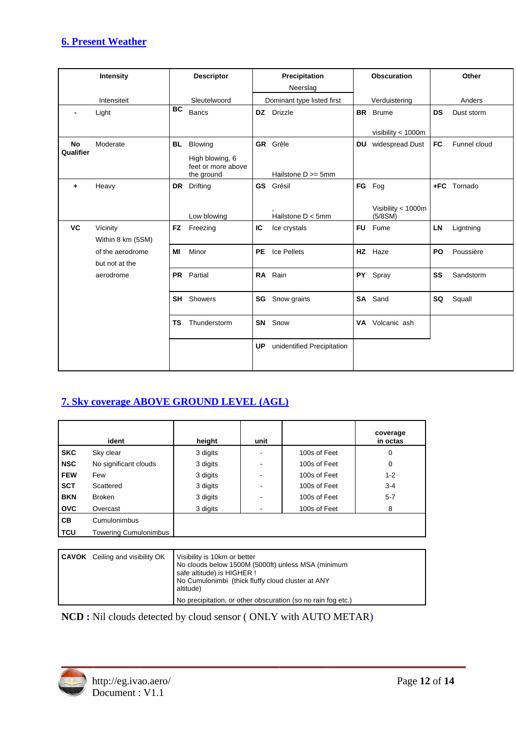#### **6. Present Weather**

|                        | <b>Intensity</b>                   |           | <b>Descriptor</b>                                              |           | Precipitation<br>Neerslag             | <b>Obscuration</b> |                                         |           | Other        |
|------------------------|------------------------------------|-----------|----------------------------------------------------------------|-----------|---------------------------------------|--------------------|-----------------------------------------|-----------|--------------|
|                        | Intensiteit                        |           | Sleutelwoord                                                   |           | Dominant type listed first            |                    | Verduistering                           |           | Anders       |
|                        | Light                              | BC        | Bancs                                                          |           | DZ Drizzle                            | <b>BR</b>          | <b>Brume</b>                            | <b>DS</b> | Dust storm   |
| <b>No</b><br>Qualifier | Moderate                           | <b>BL</b> | Blowing<br>High blowing, 6<br>feet or more above<br>the ground |           | GR Grêle<br>Hailstone $D \ge 5$ mm    | <b>DU</b>          | visibility < 1000m<br>widespread Dust   | <b>FC</b> | Funnel cloud |
| ٠                      | Heavy                              | <b>DR</b> | Drifting<br>Low blowing                                        |           | <b>GS</b> Grésil<br>Hailstone D < 5mm |                    | FG Fog<br>Visibility < 1000m<br>(5/8SM) |           | +FC Tornado  |
| <b>VC</b>              | Vicinity<br>Within 8 km (5SM)      | <b>FZ</b> | Freezing                                                       | IC        | Ice crystals                          |                    | FU Fume                                 | LN        | Ligntning    |
|                        | of the aerodrome<br>but not at the | МI        | Minor                                                          | <b>PE</b> | Ice Pellets                           |                    | HZ Haze                                 | PO        | Poussière    |
|                        | aerodrome                          |           | PR Partial                                                     |           | RA Rain                               |                    | PY Spray                                | SS        | Sandstorm    |
|                        |                                    |           | <b>SH</b> Showers                                              | SG        | Snow grains                           |                    | SA Sand                                 | SQ        | Squall       |
|                        |                                    | <b>TS</b> | Thunderstorm                                                   |           | <b>SN</b> Snow                        |                    | VA Volcanic ash                         |           |              |
|                        |                                    |           |                                                                | <b>UP</b> | unidentified Precipitation            |                    |                                         |           |              |

## **7. Sky coverage ABOVE GROUND LEVEL (AGL)**

|            | ident                        | height   | unit |              | coverage<br>in octas |
|------------|------------------------------|----------|------|--------------|----------------------|
| <b>SKC</b> | Sky clear                    | 3 digits |      | 100s of Feet | 0                    |
| <b>NSC</b> | No significant clouds        | 3 digits | ۰    | 100s of Feet | 0                    |
| <b>FEW</b> | Few                          | 3 digits | ۰    | 100s of Feet | $1 - 2$              |
| <b>SCT</b> | Scattered                    | 3 digits | ۰    | 100s of Feet | $3 - 4$              |
| <b>BKN</b> | Broken                       | 3 digits |      | 100s of Feet | $5 - 7$              |
| <b>OVC</b> | Overcast                     | 3 digits |      | 100s of Feet | 8                    |
| CB.        | Cumulonimbus                 |          |      |              |                      |
| <b>TCU</b> | <b>Towering Cumulonimbus</b> |          |      |              |                      |

| <b>CAVOK</b> Ceiling and visibility OK | Visibility is 10km or better<br>No clouds below 1500M (5000ft) unless MSA (minimum<br>safe altitude) is HIGHER !<br>No Cumulonimbi (thick fluffy cloud cluster at ANY<br>altitude) |
|----------------------------------------|------------------------------------------------------------------------------------------------------------------------------------------------------------------------------------|
|                                        | No precipitation, or other obscuration (so no rain fog etc.)                                                                                                                       |

NCD: Nil clouds detected by cloud sensor (ONLY with AUTO METAR)

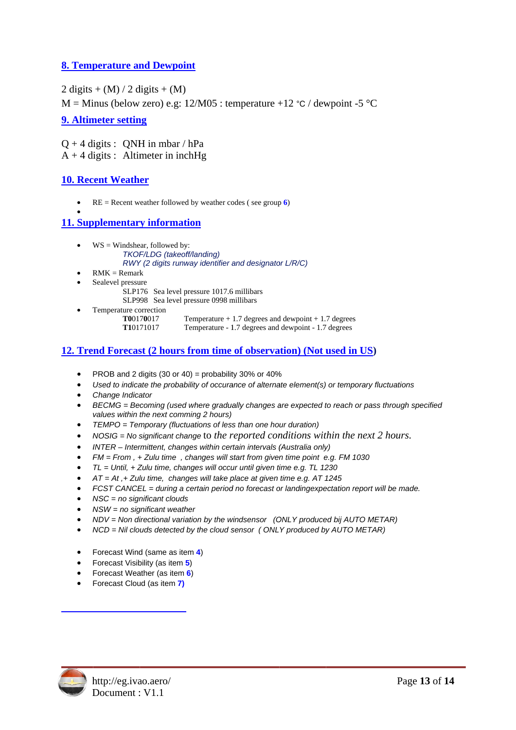#### **8. Temperature and Dewpoint**

 $2 \text{ digits} + (M) / 2 \text{ digits} + (M)$ 

M = Minus (below zero) e.g:  $12/M05$ : temperature +12 °C / dewpoint -5 °C

#### 9. Altimeter setting

 $Q + 4$  digits : ONH in mbar / hPa  $A + 4$  digits : Altimeter in inchHg

#### **10. Recent Weather**

 $\bullet$  $RE = Recent weather followed by weather codes (see group 6)$ 

#### **11. Supplementary information**

- $\bullet$  WS = Windshear, followed by: TKOF/LDG (takeoff/landing) RWY (2 digits runway identifier and designator L/R/C)
- $RMK = Remark$
- Sealevel pressure
	- SLP176 Sea level pressure 1017.6 millibars
	- SLP998 Sea level pressure 0998 millibars
- Temperature correction T00170017
	- Temperature  $+1.7$  degrees and dewpoint  $+1.7$  degrees T10171017 Temperature - 1.7 degrees and dewpoint - 1.7 degrees

#### 12. Trend Forecast (2 hours from time of observation) (Not used in US)

- PROB and 2 digits (30 or 40) = probability 30% or 40%
- Used to indicate the probability of occurance of alternate element(s) or temporary fluctuations
- Change Indicator
- BECMG = Becoming (used where gradually changes are expected to reach or pass through specified values within the next comming 2 hours)
- $\bullet$ TEMPO = Temporary (fluctuations of less than one hour duration)
- $NOSIG = No$  significant change to the reported conditions within the next  $2$  hours.
- INTER Intermittent, changes within certain intervals (Australia only)
- $FM = From$ , + Zulu time, changes will start from given time point e.g. FM 1030
- TL = Until, + Zulu time, changes will occur until given time e.g. TL 1230
- $AT = At$ ,+ Zulu time, changes will take place at given time e.g. AT 1245
- FCST CANCEL = during a certain period no forecast or landingexpectation report will be made.
- $NSC = no$  significant clouds
- $NSW = no$  significant weather
- NDV = Non directional variation by the windsensor (ONLY produced bij AUTO METAR)
- NCD = Nil clouds detected by the cloud sensor (ONLY produced by AUTO METAR)
- Forecast Wind (same as item 4)
- Forecast Visibility (as item 5)
- Forecast Weather (as item 6)
- Forecast Cloud (as item 7)